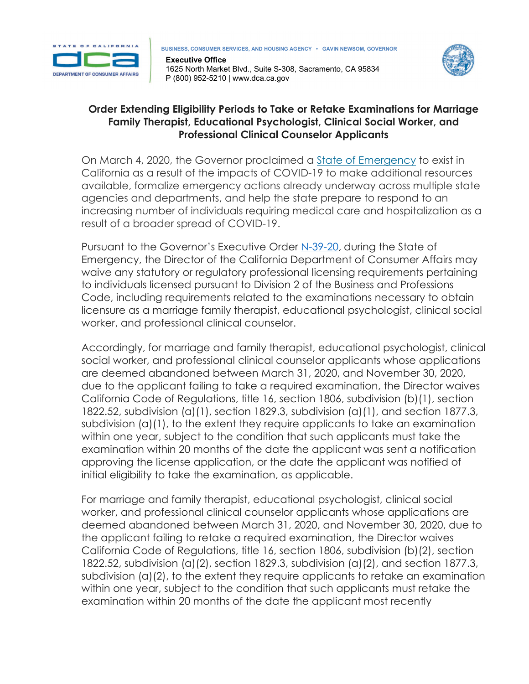

**Executive Office** 1625 North Market Blvd., Suite S-308, Sacramento, CA 95834 P (800) 952-5210 | www.dca.ca.gov



## **Order Extending Eligibility Periods to Take or Retake Examinations for Marriage Family Therapist, Educational Psychologist, Clinical Social Worker, and Professional Clinical Counselor Applicants**

On March 4, 2020, the Governor proclaimed a **State of [Emergency](https://www.gov.ca.gov/wp-content/uploads/2020/03/3.4.20-Coronavirus-SOE-Proclamation.pdf)** to exist in California as a result of the impacts of COVID-19 to make additional resources available, formalize emergency actions already underway across multiple state agencies and departments, and help the state prepare to respond to an increasing number of individuals requiring medical care and hospitalization as a result of a broader spread of COVID-19.

Pursuant to the Governor's Executive Order [N-39-20,](https://www.gov.ca.gov/wp-content/uploads/2020/03/3.30.20-EO-N-39-20.pdf) during the State of Emergency, the Director of the California Department of Consumer Affairs may waive any statutory or regulatory professional licensing requirements pertaining to individuals licensed pursuant to Division 2 of the Business and Professions Code, including requirements related to the examinations necessary to obtain licensure as a marriage family therapist, educational psychologist, clinical social worker, and professional clinical counselor.

Accordingly, for marriage and family therapist, educational psychologist, clinical social worker, and professional clinical counselor applicants whose applications are deemed abandoned between March 31, 2020, and November 30, 2020, due to the applicant failing to take a required examination, the Director waives California Code of Regulations, title 16, section 1806, subdivision (b)(1), section 1822.52, subdivision (a)(1), section 1829.3, subdivision (a)(1), and section 1877.3, subdivision (a)(1), to the extent they require applicants to take an examination within one year, subject to the condition that such applicants must take the examination within 20 months of the date the applicant was sent a notification approving the license application, or the date the applicant was notified of initial eligibility to take the examination, as applicable.

For marriage and family therapist, educational psychologist, clinical social worker, and professional clinical counselor applicants whose applications are deemed abandoned between March 31, 2020, and November 30, 2020, due to the applicant failing to retake a required examination, the Director waives California Code of Regulations, title 16, section 1806, subdivision (b)(2), section 1822.52, subdivision (a)(2), section 1829.3, subdivision (a)(2), and section 1877.3, subdivision (a)(2), to the extent they require applicants to retake an examination within one year, subject to the condition that such applicants must retake the examination within 20 months of the date the applicant most recently